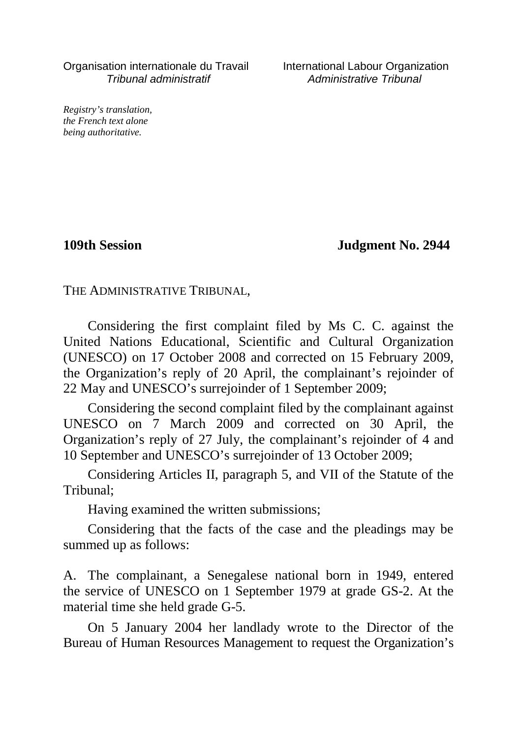Organisation internationale du Travail International Labour Organization Tribunal administratif Administrative Tribunal

*Registry's translation, the French text alone being authoritative.*

**109th Session Judgment No. 2944**

THE ADMINISTRATIVE TRIBUNAL,

Considering the first complaint filed by Ms C. C. against the United Nations Educational, Scientific and Cultural Organization (UNESCO) on 17 October 2008 and corrected on 15 February 2009, the Organization's reply of 20 April, the complainant's rejoinder of 22 May and UNESCO's surrejoinder of 1 September 2009;

Considering the second complaint filed by the complainant against UNESCO on 7 March 2009 and corrected on 30 April, the Organization's reply of 27 July, the complainant's rejoinder of 4 and 10 September and UNESCO's surrejoinder of 13 October 2009;

Considering Articles II, paragraph 5, and VII of the Statute of the Tribunal;

Having examined the written submissions;

Considering that the facts of the case and the pleadings may be summed up as follows:

A. The complainant, a Senegalese national born in 1949, entered the service of UNESCO on 1 September 1979 at grade GS-2. At the material time she held grade G-5.

On 5 January 2004 her landlady wrote to the Director of the Bureau of Human Resources Management to request the Organization's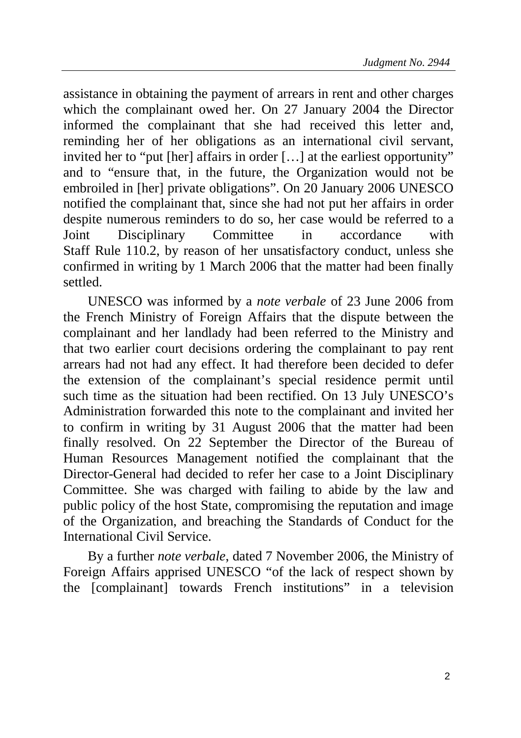assistance in obtaining the payment of arrears in rent and other charges which the complainant owed her. On 27 January 2004 the Director informed the complainant that she had received this letter and, reminding her of her obligations as an international civil servant, invited her to "put [her] affairs in order […] at the earliest opportunity" and to "ensure that, in the future, the Organization would not be embroiled in [her] private obligations". On 20 January 2006 UNESCO notified the complainant that, since she had not put her affairs in order despite numerous reminders to do so, her case would be referred to a Joint Disciplinary Committee in accordance with Staff Rule 110.2, by reason of her unsatisfactory conduct, unless she confirmed in writing by 1 March 2006 that the matter had been finally settled.

UNESCO was informed by a *note verbale* of 23 June 2006 from the French Ministry of Foreign Affairs that the dispute between the complainant and her landlady had been referred to the Ministry and that two earlier court decisions ordering the complainant to pay rent arrears had not had any effect. It had therefore been decided to defer the extension of the complainant's special residence permit until such time as the situation had been rectified. On 13 July UNESCO's Administration forwarded this note to the complainant and invited her to confirm in writing by 31 August 2006 that the matter had been finally resolved. On 22 September the Director of the Bureau of Human Resources Management notified the complainant that the Director-General had decided to refer her case to a Joint Disciplinary Committee. She was charged with failing to abide by the law and public policy of the host State, compromising the reputation and image of the Organization, and breaching the Standards of Conduct for the International Civil Service.

By a further *note verbale*, dated 7 November 2006, the Ministry of Foreign Affairs apprised UNESCO "of the lack of respect shown by the [complainant] towards French institutions" in a television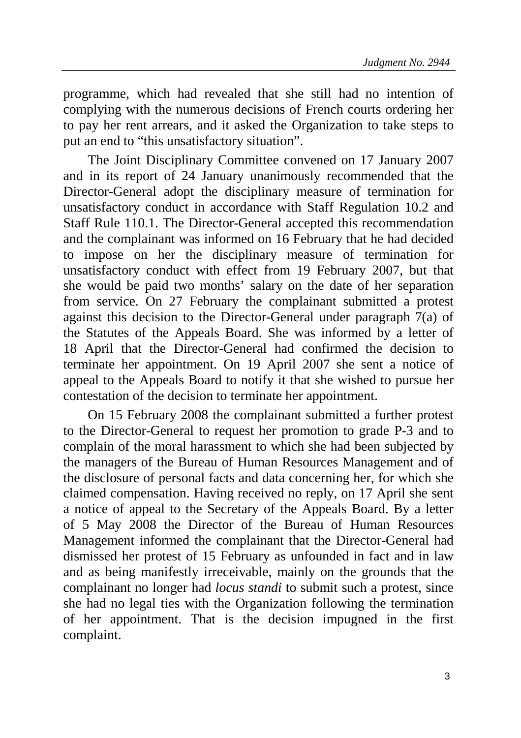programme, which had revealed that she still had no intention of complying with the numerous decisions of French courts ordering her to pay her rent arrears, and it asked the Organization to take steps to put an end to "this unsatisfactory situation".

The Joint Disciplinary Committee convened on 17 January 2007 and in its report of 24 January unanimously recommended that the Director-General adopt the disciplinary measure of termination for unsatisfactory conduct in accordance with Staff Regulation 10.2 and Staff Rule 110.1. The Director-General accepted this recommendation and the complainant was informed on 16 February that he had decided to impose on her the disciplinary measure of termination for unsatisfactory conduct with effect from 19 February 2007, but that she would be paid two months' salary on the date of her separation from service. On 27 February the complainant submitted a protest against this decision to the Director-General under paragraph 7(a) of the Statutes of the Appeals Board. She was informed by a letter of 18 April that the Director-General had confirmed the decision to terminate her appointment. On 19 April 2007 she sent a notice of appeal to the Appeals Board to notify it that she wished to pursue her contestation of the decision to terminate her appointment.

On 15 February 2008 the complainant submitted a further protest to the Director-General to request her promotion to grade P-3 and to complain of the moral harassment to which she had been subjected by the managers of the Bureau of Human Resources Management and of the disclosure of personal facts and data concerning her, for which she claimed compensation. Having received no reply, on 17 April she sent a notice of appeal to the Secretary of the Appeals Board. By a letter of 5 May 2008 the Director of the Bureau of Human Resources Management informed the complainant that the Director-General had dismissed her protest of 15 February as unfounded in fact and in law and as being manifestly irreceivable, mainly on the grounds that the complainant no longer had *locus standi* to submit such a protest, since she had no legal ties with the Organization following the termination of her appointment. That is the decision impugned in the first complaint.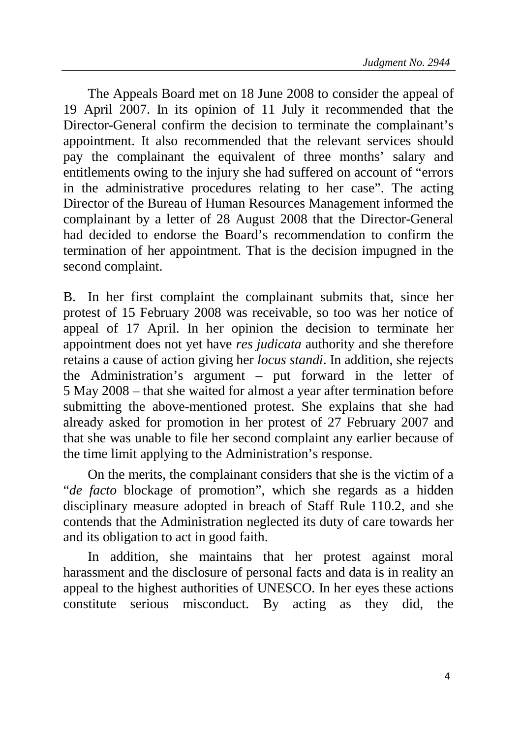The Appeals Board met on 18 June 2008 to consider the appeal of 19 April 2007. In its opinion of 11 July it recommended that the Director-General confirm the decision to terminate the complainant's appointment. It also recommended that the relevant services should pay the complainant the equivalent of three months' salary and entitlements owing to the injury she had suffered on account of "errors in the administrative procedures relating to her case". The acting Director of the Bureau of Human Resources Management informed the complainant by a letter of 28 August 2008 that the Director-General had decided to endorse the Board's recommendation to confirm the termination of her appointment. That is the decision impugned in the second complaint.

B. In her first complaint the complainant submits that, since her protest of 15 February 2008 was receivable, so too was her notice of appeal of 17 April. In her opinion the decision to terminate her appointment does not yet have *res judicata* authority and she therefore retains a cause of action giving her *locus standi*. In addition, she rejects the Administration's argument – put forward in the letter of 5 May 2008 – that she waited for almost a year after termination before submitting the above-mentioned protest. She explains that she had already asked for promotion in her protest of 27 February 2007 and that she was unable to file her second complaint any earlier because of the time limit applying to the Administration's response.

On the merits, the complainant considers that she is the victim of a "*de facto* blockage of promotion", which she regards as a hidden disciplinary measure adopted in breach of Staff Rule 110.2, and she contends that the Administration neglected its duty of care towards her and its obligation to act in good faith.

In addition, she maintains that her protest against moral harassment and the disclosure of personal facts and data is in reality an appeal to the highest authorities of UNESCO. In her eyes these actions constitute serious misconduct. By acting as they did, the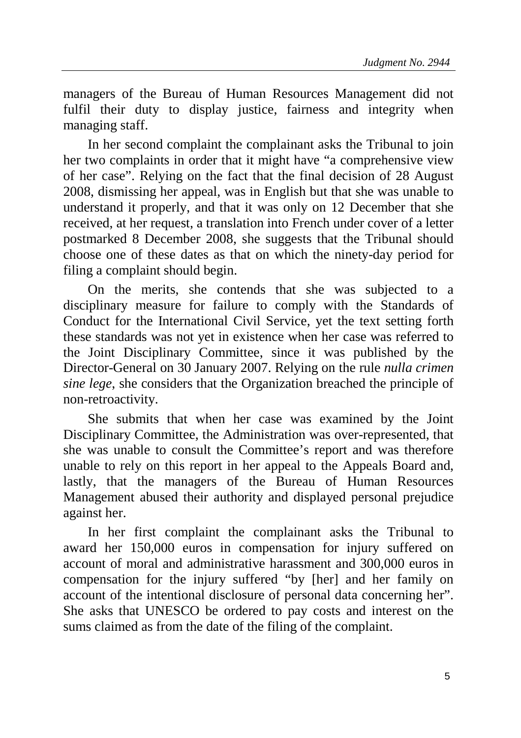managers of the Bureau of Human Resources Management did not fulfil their duty to display justice, fairness and integrity when managing staff.

In her second complaint the complainant asks the Tribunal to join her two complaints in order that it might have "a comprehensive view of her case". Relying on the fact that the final decision of 28 August 2008, dismissing her appeal, was in English but that she was unable to understand it properly, and that it was only on 12 December that she received, at her request, a translation into French under cover of a letter postmarked 8 December 2008, she suggests that the Tribunal should choose one of these dates as that on which the ninety-day period for filing a complaint should begin.

On the merits, she contends that she was subjected to a disciplinary measure for failure to comply with the Standards of Conduct for the International Civil Service, yet the text setting forth these standards was not yet in existence when her case was referred to the Joint Disciplinary Committee, since it was published by the Director-General on 30 January 2007. Relying on the rule *nulla crimen sine lege*, she considers that the Organization breached the principle of non-retroactivity.

She submits that when her case was examined by the Joint Disciplinary Committee, the Administration was over-represented, that she was unable to consult the Committee's report and was therefore unable to rely on this report in her appeal to the Appeals Board and, lastly, that the managers of the Bureau of Human Resources Management abused their authority and displayed personal prejudice against her.

In her first complaint the complainant asks the Tribunal to award her 150,000 euros in compensation for injury suffered on account of moral and administrative harassment and 300,000 euros in compensation for the injury suffered "by [her] and her family on account of the intentional disclosure of personal data concerning her". She asks that UNESCO be ordered to pay costs and interest on the sums claimed as from the date of the filing of the complaint.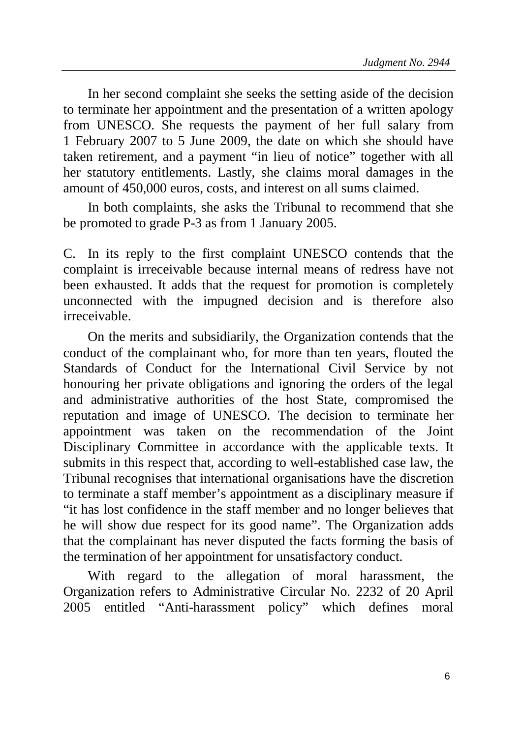In her second complaint she seeks the setting aside of the decision to terminate her appointment and the presentation of a written apology from UNESCO. She requests the payment of her full salary from 1 February 2007 to 5 June 2009, the date on which she should have taken retirement, and a payment "in lieu of notice" together with all her statutory entitlements. Lastly, she claims moral damages in the amount of 450,000 euros, costs, and interest on all sums claimed.

In both complaints, she asks the Tribunal to recommend that she be promoted to grade P-3 as from 1 January 2005.

C. In its reply to the first complaint UNESCO contends that the complaint is irreceivable because internal means of redress have not been exhausted. It adds that the request for promotion is completely unconnected with the impugned decision and is therefore also irreceivable.

On the merits and subsidiarily, the Organization contends that the conduct of the complainant who, for more than ten years, flouted the Standards of Conduct for the International Civil Service by not honouring her private obligations and ignoring the orders of the legal and administrative authorities of the host State, compromised the reputation and image of UNESCO. The decision to terminate her appointment was taken on the recommendation of the Joint Disciplinary Committee in accordance with the applicable texts. It submits in this respect that, according to well-established case law, the Tribunal recognises that international organisations have the discretion to terminate a staff member's appointment as a disciplinary measure if "it has lost confidence in the staff member and no longer believes that he will show due respect for its good name". The Organization adds that the complainant has never disputed the facts forming the basis of the termination of her appointment for unsatisfactory conduct.

With regard to the allegation of moral harassment, the Organization refers to Administrative Circular No. 2232 of 20 April 2005 entitled "Anti-harassment policy" which defines moral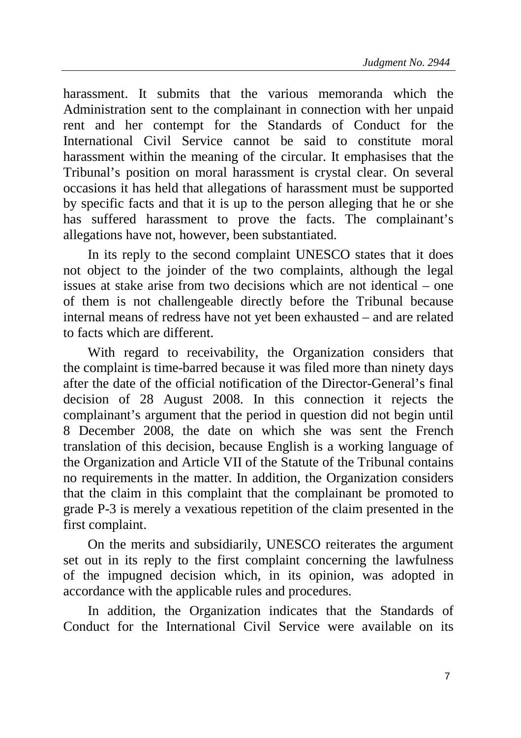harassment. It submits that the various memoranda which the Administration sent to the complainant in connection with her unpaid rent and her contempt for the Standards of Conduct for the International Civil Service cannot be said to constitute moral harassment within the meaning of the circular. It emphasises that the Tribunal's position on moral harassment is crystal clear. On several occasions it has held that allegations of harassment must be supported by specific facts and that it is up to the person alleging that he or she has suffered harassment to prove the facts. The complainant's allegations have not, however, been substantiated.

In its reply to the second complaint UNESCO states that it does not object to the joinder of the two complaints, although the legal issues at stake arise from two decisions which are not identical – one of them is not challengeable directly before the Tribunal because internal means of redress have not yet been exhausted – and are related to facts which are different.

With regard to receivability, the Organization considers that the complaint is time-barred because it was filed more than ninety days after the date of the official notification of the Director-General's final decision of 28 August 2008. In this connection it rejects the complainant's argument that the period in question did not begin until 8 December 2008, the date on which she was sent the French translation of this decision, because English is a working language of the Organization and Article VII of the Statute of the Tribunal contains no requirements in the matter. In addition, the Organization considers that the claim in this complaint that the complainant be promoted to grade P-3 is merely a vexatious repetition of the claim presented in the first complaint.

On the merits and subsidiarily, UNESCO reiterates the argument set out in its reply to the first complaint concerning the lawfulness of the impugned decision which, in its opinion, was adopted in accordance with the applicable rules and procedures.

In addition, the Organization indicates that the Standards of Conduct for the International Civil Service were available on its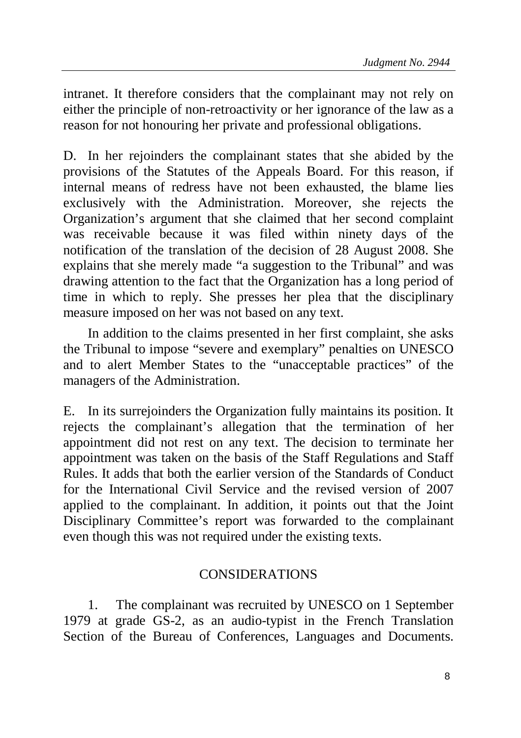intranet. It therefore considers that the complainant may not rely on either the principle of non-retroactivity or her ignorance of the law as a reason for not honouring her private and professional obligations.

D. In her rejoinders the complainant states that she abided by the provisions of the Statutes of the Appeals Board. For this reason, if internal means of redress have not been exhausted, the blame lies exclusively with the Administration. Moreover, she rejects the Organization's argument that she claimed that her second complaint was receivable because it was filed within ninety days of the notification of the translation of the decision of 28 August 2008. She explains that she merely made "a suggestion to the Tribunal" and was drawing attention to the fact that the Organization has a long period of time in which to reply. She presses her plea that the disciplinary measure imposed on her was not based on any text.

In addition to the claims presented in her first complaint, she asks the Tribunal to impose "severe and exemplary" penalties on UNESCO and to alert Member States to the "unacceptable practices" of the managers of the Administration.

E. In its surrejoinders the Organization fully maintains its position. It rejects the complainant's allegation that the termination of her appointment did not rest on any text. The decision to terminate her appointment was taken on the basis of the Staff Regulations and Staff Rules. It adds that both the earlier version of the Standards of Conduct for the International Civil Service and the revised version of 2007 applied to the complainant. In addition, it points out that the Joint Disciplinary Committee's report was forwarded to the complainant even though this was not required under the existing texts.

## CONSIDERATIONS

1. The complainant was recruited by UNESCO on 1 September 1979 at grade GS-2, as an audio-typist in the French Translation Section of the Bureau of Conferences, Languages and Documents.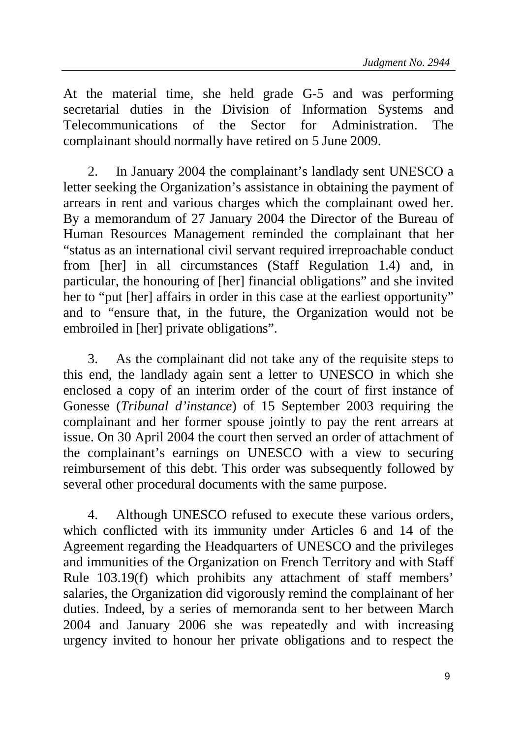At the material time, she held grade G-5 and was performing secretarial duties in the Division of Information Systems and Telecommunications of the Sector for Administration. The complainant should normally have retired on 5 June 2009.

2. In January 2004 the complainant's landlady sent UNESCO a letter seeking the Organization's assistance in obtaining the payment of arrears in rent and various charges which the complainant owed her. By a memorandum of 27 January 2004 the Director of the Bureau of Human Resources Management reminded the complainant that her "status as an international civil servant required irreproachable conduct from [her] in all circumstances (Staff Regulation 1.4) and, in particular, the honouring of [her] financial obligations" and she invited her to "put [her] affairs in order in this case at the earliest opportunity" and to "ensure that, in the future, the Organization would not be embroiled in [her] private obligations".

3. As the complainant did not take any of the requisite steps to this end, the landlady again sent a letter to UNESCO in which she enclosed a copy of an interim order of the court of first instance of Gonesse (*Tribunal d'instance*) of 15 September 2003 requiring the complainant and her former spouse jointly to pay the rent arrears at issue. On 30 April 2004 the court then served an order of attachment of the complainant's earnings on UNESCO with a view to securing reimbursement of this debt. This order was subsequently followed by several other procedural documents with the same purpose.

4. Although UNESCO refused to execute these various orders, which conflicted with its immunity under Articles 6 and 14 of the Agreement regarding the Headquarters of UNESCO and the privileges and immunities of the Organization on French Territory and with Staff Rule 103.19(f) which prohibits any attachment of staff members' salaries, the Organization did vigorously remind the complainant of her duties. Indeed, by a series of memoranda sent to her between March 2004 and January 2006 she was repeatedly and with increasing urgency invited to honour her private obligations and to respect the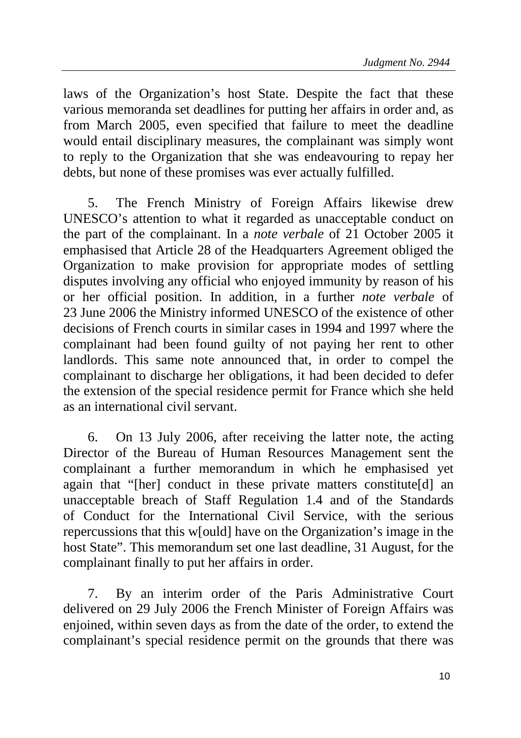laws of the Organization's host State. Despite the fact that these various memoranda set deadlines for putting her affairs in order and, as from March 2005, even specified that failure to meet the deadline would entail disciplinary measures, the complainant was simply wont to reply to the Organization that she was endeavouring to repay her debts, but none of these promises was ever actually fulfilled.

5. The French Ministry of Foreign Affairs likewise drew UNESCO's attention to what it regarded as unacceptable conduct on the part of the complainant. In a *note verbale* of 21 October 2005 it emphasised that Article 28 of the Headquarters Agreement obliged the Organization to make provision for appropriate modes of settling disputes involving any official who enjoyed immunity by reason of his or her official position. In addition, in a further *note verbale* of 23 June 2006 the Ministry informed UNESCO of the existence of other decisions of French courts in similar cases in 1994 and 1997 where the complainant had been found guilty of not paying her rent to other landlords. This same note announced that, in order to compel the complainant to discharge her obligations, it had been decided to defer the extension of the special residence permit for France which she held as an international civil servant.

6. On 13 July 2006, after receiving the latter note, the acting Director of the Bureau of Human Resources Management sent the complainant a further memorandum in which he emphasised yet again that "[her] conduct in these private matters constitute[d] an unacceptable breach of Staff Regulation 1.4 and of the Standards of Conduct for the International Civil Service, with the serious repercussions that this w[ould] have on the Organization's image in the host State". This memorandum set one last deadline, 31 August, for the complainant finally to put her affairs in order.

7. By an interim order of the Paris Administrative Court delivered on 29 July 2006 the French Minister of Foreign Affairs was enjoined, within seven days as from the date of the order, to extend the complainant's special residence permit on the grounds that there was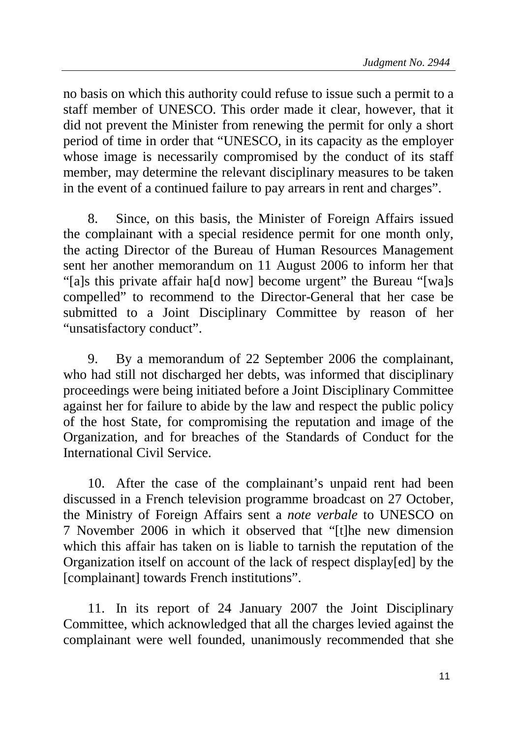no basis on which this authority could refuse to issue such a permit to a staff member of UNESCO. This order made it clear, however, that it did not prevent the Minister from renewing the permit for only a short period of time in order that "UNESCO, in its capacity as the employer whose image is necessarily compromised by the conduct of its staff member, may determine the relevant disciplinary measures to be taken in the event of a continued failure to pay arrears in rent and charges".

8. Since, on this basis, the Minister of Foreign Affairs issued the complainant with a special residence permit for one month only, the acting Director of the Bureau of Human Resources Management sent her another memorandum on 11 August 2006 to inform her that "[a]s this private affair ha[d now] become urgent" the Bureau "[wa]s compelled" to recommend to the Director-General that her case be submitted to a Joint Disciplinary Committee by reason of her "unsatisfactory conduct".

9. By a memorandum of 22 September 2006 the complainant, who had still not discharged her debts, was informed that disciplinary proceedings were being initiated before a Joint Disciplinary Committee against her for failure to abide by the law and respect the public policy of the host State, for compromising the reputation and image of the Organization, and for breaches of the Standards of Conduct for the International Civil Service.

10. After the case of the complainant's unpaid rent had been discussed in a French television programme broadcast on 27 October, the Ministry of Foreign Affairs sent a *note verbale* to UNESCO on 7 November 2006 in which it observed that "[t]he new dimension which this affair has taken on is liable to tarnish the reputation of the Organization itself on account of the lack of respect display[ed] by the [complainant] towards French institutions".

11. In its report of 24 January 2007 the Joint Disciplinary Committee, which acknowledged that all the charges levied against the complainant were well founded, unanimously recommended that she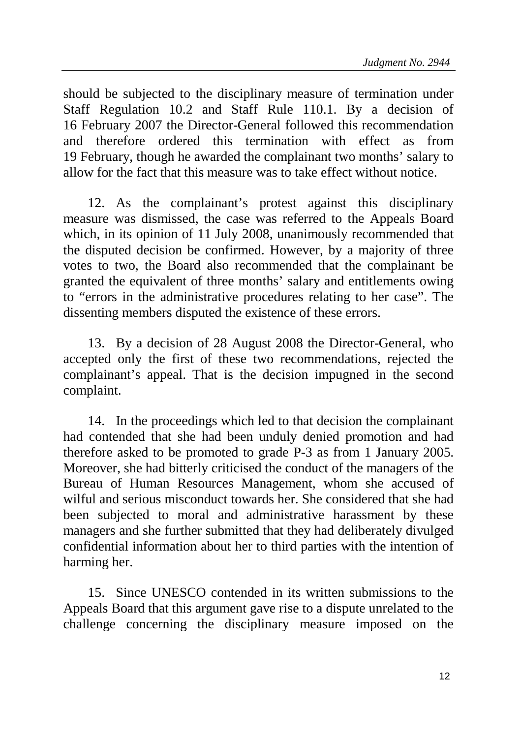should be subjected to the disciplinary measure of termination under Staff Regulation 10.2 and Staff Rule 110.1. By a decision of 16 February 2007 the Director-General followed this recommendation and therefore ordered this termination with effect as from 19 February, though he awarded the complainant two months' salary to allow for the fact that this measure was to take effect without notice.

12. As the complainant's protest against this disciplinary measure was dismissed, the case was referred to the Appeals Board which, in its opinion of 11 July 2008, unanimously recommended that the disputed decision be confirmed. However, by a majority of three votes to two, the Board also recommended that the complainant be granted the equivalent of three months' salary and entitlements owing to "errors in the administrative procedures relating to her case". The dissenting members disputed the existence of these errors.

13. By a decision of 28 August 2008 the Director-General, who accepted only the first of these two recommendations, rejected the complainant's appeal. That is the decision impugned in the second complaint.

14. In the proceedings which led to that decision the complainant had contended that she had been unduly denied promotion and had therefore asked to be promoted to grade P-3 as from 1 January 2005. Moreover, she had bitterly criticised the conduct of the managers of the Bureau of Human Resources Management, whom she accused of wilful and serious misconduct towards her. She considered that she had been subjected to moral and administrative harassment by these managers and she further submitted that they had deliberately divulged confidential information about her to third parties with the intention of harming her.

15. Since UNESCO contended in its written submissions to the Appeals Board that this argument gave rise to a dispute unrelated to the challenge concerning the disciplinary measure imposed on the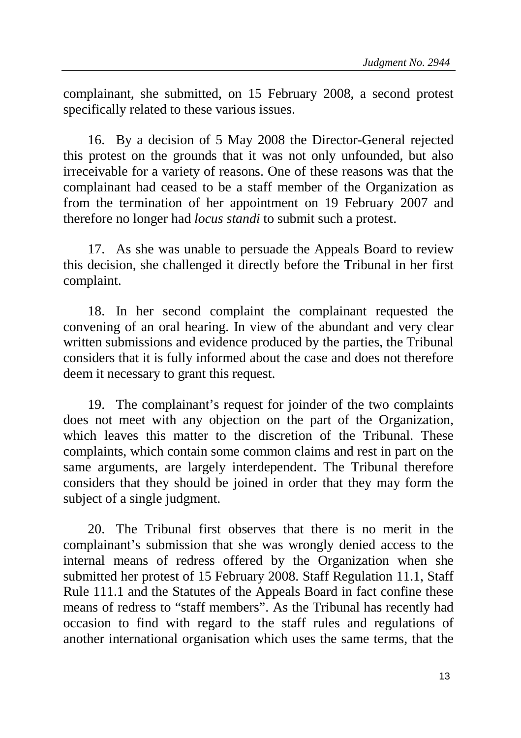complainant, she submitted, on 15 February 2008, a second protest specifically related to these various issues.

16. By a decision of 5 May 2008 the Director-General rejected this protest on the grounds that it was not only unfounded, but also irreceivable for a variety of reasons. One of these reasons was that the complainant had ceased to be a staff member of the Organization as from the termination of her appointment on 19 February 2007 and therefore no longer had *locus standi* to submit such a protest.

17. As she was unable to persuade the Appeals Board to review this decision, she challenged it directly before the Tribunal in her first complaint.

18. In her second complaint the complainant requested the convening of an oral hearing. In view of the abundant and very clear written submissions and evidence produced by the parties, the Tribunal considers that it is fully informed about the case and does not therefore deem it necessary to grant this request.

19. The complainant's request for joinder of the two complaints does not meet with any objection on the part of the Organization, which leaves this matter to the discretion of the Tribunal. These complaints, which contain some common claims and rest in part on the same arguments, are largely interdependent. The Tribunal therefore considers that they should be joined in order that they may form the subject of a single judgment.

20. The Tribunal first observes that there is no merit in the complainant's submission that she was wrongly denied access to the internal means of redress offered by the Organization when she submitted her protest of 15 February 2008. Staff Regulation 11.1, Staff Rule 111.1 and the Statutes of the Appeals Board in fact confine these means of redress to "staff members". As the Tribunal has recently had occasion to find with regard to the staff rules and regulations of another international organisation which uses the same terms, that the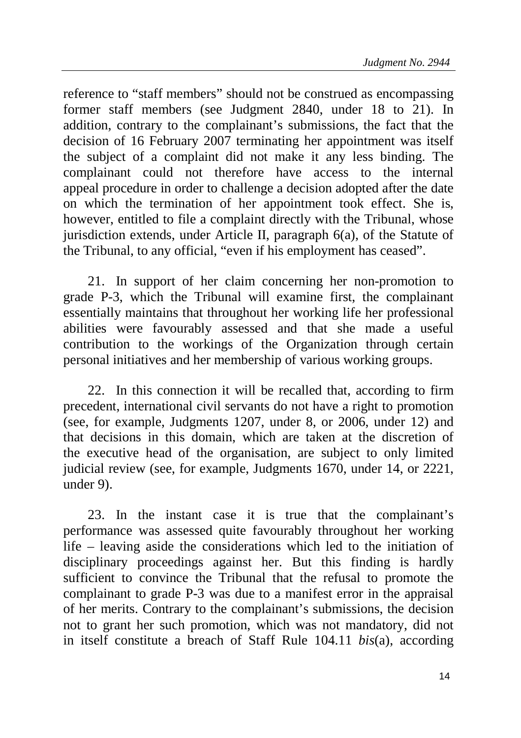reference to "staff members" should not be construed as encompassing former staff members (see Judgment 2840, under 18 to 21). In addition, contrary to the complainant's submissions, the fact that the decision of 16 February 2007 terminating her appointment was itself the subject of a complaint did not make it any less binding. The complainant could not therefore have access to the internal appeal procedure in order to challenge a decision adopted after the date on which the termination of her appointment took effect. She is, however, entitled to file a complaint directly with the Tribunal, whose jurisdiction extends, under Article II, paragraph 6(a), of the Statute of the Tribunal, to any official, "even if his employment has ceased".

21. In support of her claim concerning her non-promotion to grade P-3, which the Tribunal will examine first, the complainant essentially maintains that throughout her working life her professional abilities were favourably assessed and that she made a useful contribution to the workings of the Organization through certain personal initiatives and her membership of various working groups.

22. In this connection it will be recalled that, according to firm precedent, international civil servants do not have a right to promotion (see, for example, Judgments 1207, under 8, or 2006, under 12) and that decisions in this domain, which are taken at the discretion of the executive head of the organisation, are subject to only limited judicial review (see, for example, Judgments 1670, under 14, or 2221, under 9).

23. In the instant case it is true that the complainant's performance was assessed quite favourably throughout her working life – leaving aside the considerations which led to the initiation of disciplinary proceedings against her. But this finding is hardly sufficient to convince the Tribunal that the refusal to promote the complainant to grade P-3 was due to a manifest error in the appraisal of her merits. Contrary to the complainant's submissions, the decision not to grant her such promotion, which was not mandatory, did not in itself constitute a breach of Staff Rule 104.11 *bis*(a), according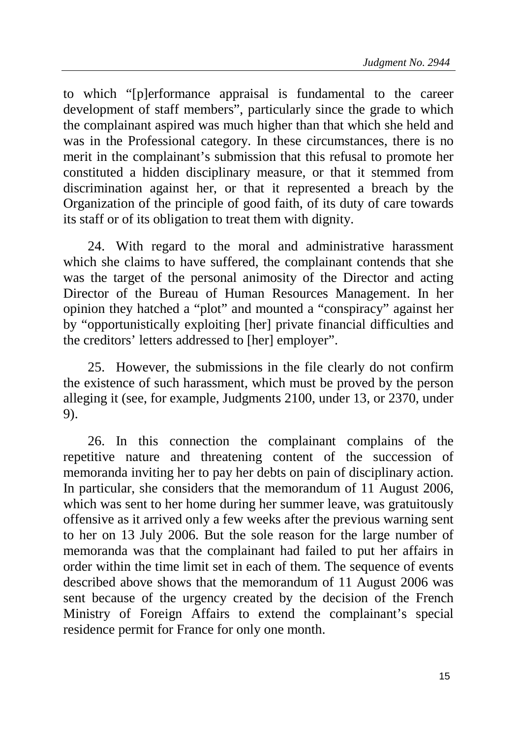to which "[p]erformance appraisal is fundamental to the career development of staff members", particularly since the grade to which the complainant aspired was much higher than that which she held and was in the Professional category. In these circumstances, there is no merit in the complainant's submission that this refusal to promote her constituted a hidden disciplinary measure, or that it stemmed from discrimination against her, or that it represented a breach by the Organization of the principle of good faith, of its duty of care towards its staff or of its obligation to treat them with dignity.

24. With regard to the moral and administrative harassment which she claims to have suffered, the complainant contends that she was the target of the personal animosity of the Director and acting Director of the Bureau of Human Resources Management. In her opinion they hatched a "plot" and mounted a "conspiracy" against her by "opportunistically exploiting [her] private financial difficulties and the creditors' letters addressed to [her] employer".

25. However, the submissions in the file clearly do not confirm the existence of such harassment, which must be proved by the person alleging it (see, for example, Judgments 2100, under 13, or 2370, under 9).

26. In this connection the complainant complains of the repetitive nature and threatening content of the succession of memoranda inviting her to pay her debts on pain of disciplinary action. In particular, she considers that the memorandum of 11 August 2006, which was sent to her home during her summer leave, was gratuitously offensive as it arrived only a few weeks after the previous warning sent to her on 13 July 2006. But the sole reason for the large number of memoranda was that the complainant had failed to put her affairs in order within the time limit set in each of them. The sequence of events described above shows that the memorandum of 11 August 2006 was sent because of the urgency created by the decision of the French Ministry of Foreign Affairs to extend the complainant's special residence permit for France for only one month.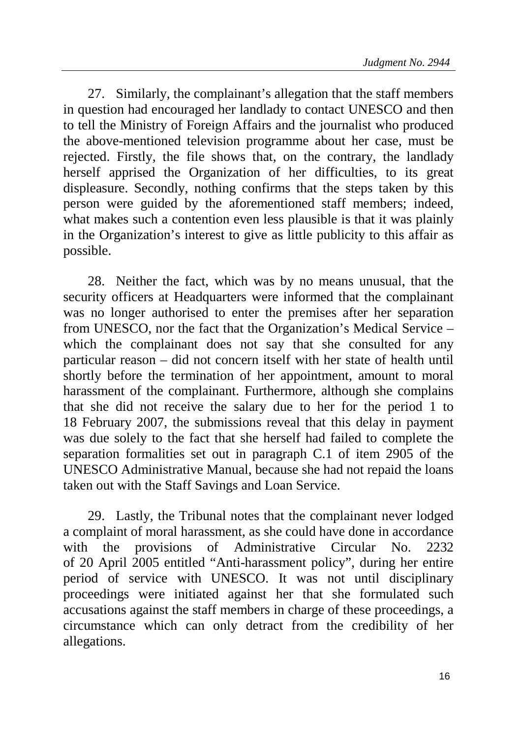27. Similarly, the complainant's allegation that the staff members in question had encouraged her landlady to contact UNESCO and then to tell the Ministry of Foreign Affairs and the journalist who produced the above-mentioned television programme about her case, must be rejected. Firstly, the file shows that, on the contrary, the landlady herself apprised the Organization of her difficulties, to its great displeasure. Secondly, nothing confirms that the steps taken by this person were guided by the aforementioned staff members; indeed, what makes such a contention even less plausible is that it was plainly in the Organization's interest to give as little publicity to this affair as possible.

28. Neither the fact, which was by no means unusual, that the security officers at Headquarters were informed that the complainant was no longer authorised to enter the premises after her separation from UNESCO, nor the fact that the Organization's Medical Service – which the complainant does not say that she consulted for any particular reason – did not concern itself with her state of health until shortly before the termination of her appointment, amount to moral harassment of the complainant. Furthermore, although she complains that she did not receive the salary due to her for the period 1 to 18 February 2007, the submissions reveal that this delay in payment was due solely to the fact that she herself had failed to complete the separation formalities set out in paragraph C.1 of item 2905 of the UNESCO Administrative Manual, because she had not repaid the loans taken out with the Staff Savings and Loan Service.

29. Lastly, the Tribunal notes that the complainant never lodged a complaint of moral harassment, as she could have done in accordance with the provisions of Administrative Circular No. 2232 of 20 April 2005 entitled "Anti-harassment policy", during her entire period of service with UNESCO. It was not until disciplinary proceedings were initiated against her that she formulated such accusations against the staff members in charge of these proceedings, a circumstance which can only detract from the credibility of her allegations.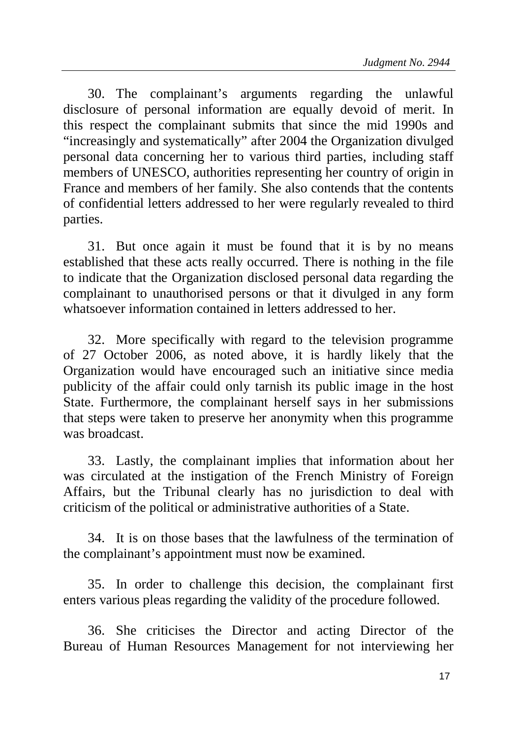30. The complainant's arguments regarding the unlawful disclosure of personal information are equally devoid of merit. In this respect the complainant submits that since the mid 1990s and "increasingly and systematically" after 2004 the Organization divulged personal data concerning her to various third parties, including staff members of UNESCO, authorities representing her country of origin in France and members of her family. She also contends that the contents of confidential letters addressed to her were regularly revealed to third parties.

31. But once again it must be found that it is by no means established that these acts really occurred. There is nothing in the file to indicate that the Organization disclosed personal data regarding the complainant to unauthorised persons or that it divulged in any form whatsoever information contained in letters addressed to her

32. More specifically with regard to the television programme of 27 October 2006, as noted above, it is hardly likely that the Organization would have encouraged such an initiative since media publicity of the affair could only tarnish its public image in the host State. Furthermore, the complainant herself says in her submissions that steps were taken to preserve her anonymity when this programme was broadcast.

33. Lastly, the complainant implies that information about her was circulated at the instigation of the French Ministry of Foreign Affairs, but the Tribunal clearly has no jurisdiction to deal with criticism of the political or administrative authorities of a State.

34. It is on those bases that the lawfulness of the termination of the complainant's appointment must now be examined.

35. In order to challenge this decision, the complainant first enters various pleas regarding the validity of the procedure followed.

36. She criticises the Director and acting Director of the Bureau of Human Resources Management for not interviewing her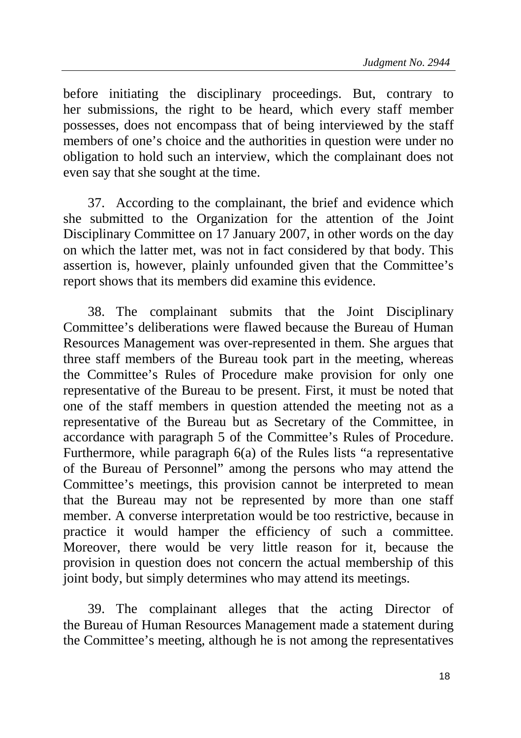before initiating the disciplinary proceedings. But, contrary to her submissions, the right to be heard, which every staff member possesses, does not encompass that of being interviewed by the staff members of one's choice and the authorities in question were under no obligation to hold such an interview, which the complainant does not even say that she sought at the time.

37. According to the complainant, the brief and evidence which she submitted to the Organization for the attention of the Joint Disciplinary Committee on 17 January 2007, in other words on the day on which the latter met, was not in fact considered by that body. This assertion is, however, plainly unfounded given that the Committee's report shows that its members did examine this evidence.

38. The complainant submits that the Joint Disciplinary Committee's deliberations were flawed because the Bureau of Human Resources Management was over-represented in them. She argues that three staff members of the Bureau took part in the meeting, whereas the Committee's Rules of Procedure make provision for only one representative of the Bureau to be present. First, it must be noted that one of the staff members in question attended the meeting not as a representative of the Bureau but as Secretary of the Committee, in accordance with paragraph 5 of the Committee's Rules of Procedure. Furthermore, while paragraph 6(a) of the Rules lists "a representative of the Bureau of Personnel" among the persons who may attend the Committee's meetings, this provision cannot be interpreted to mean that the Bureau may not be represented by more than one staff member. A converse interpretation would be too restrictive, because in practice it would hamper the efficiency of such a committee. Moreover, there would be very little reason for it, because the provision in question does not concern the actual membership of this joint body, but simply determines who may attend its meetings.

39. The complainant alleges that the acting Director of the Bureau of Human Resources Management made a statement during the Committee's meeting, although he is not among the representatives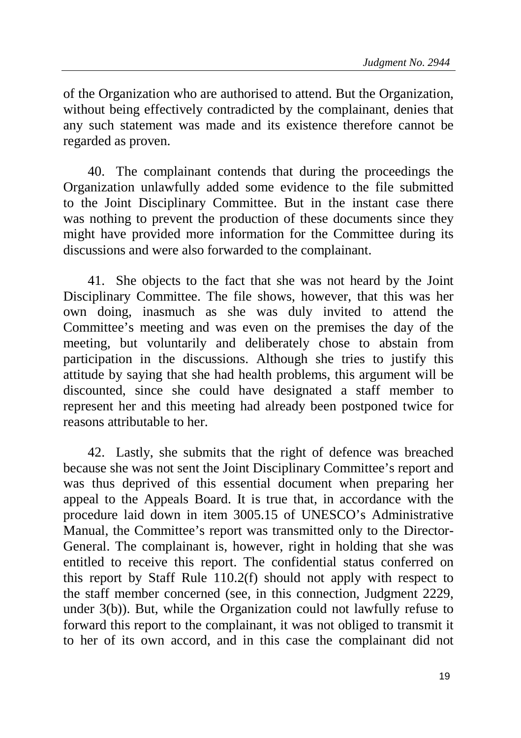of the Organization who are authorised to attend. But the Organization, without being effectively contradicted by the complainant, denies that any such statement was made and its existence therefore cannot be regarded as proven.

40. The complainant contends that during the proceedings the Organization unlawfully added some evidence to the file submitted to the Joint Disciplinary Committee. But in the instant case there was nothing to prevent the production of these documents since they might have provided more information for the Committee during its discussions and were also forwarded to the complainant.

41. She objects to the fact that she was not heard by the Joint Disciplinary Committee. The file shows, however, that this was her own doing, inasmuch as she was duly invited to attend the Committee's meeting and was even on the premises the day of the meeting, but voluntarily and deliberately chose to abstain from participation in the discussions. Although she tries to justify this attitude by saying that she had health problems, this argument will be discounted, since she could have designated a staff member to represent her and this meeting had already been postponed twice for reasons attributable to her.

42. Lastly, she submits that the right of defence was breached because she was not sent the Joint Disciplinary Committee's report and was thus deprived of this essential document when preparing her appeal to the Appeals Board. It is true that, in accordance with the procedure laid down in item 3005.15 of UNESCO's Administrative Manual, the Committee's report was transmitted only to the Director-General. The complainant is, however, right in holding that she was entitled to receive this report. The confidential status conferred on this report by Staff Rule 110.2(f) should not apply with respect to the staff member concerned (see, in this connection, Judgment 2229, under 3(b)). But, while the Organization could not lawfully refuse to forward this report to the complainant, it was not obliged to transmit it to her of its own accord, and in this case the complainant did not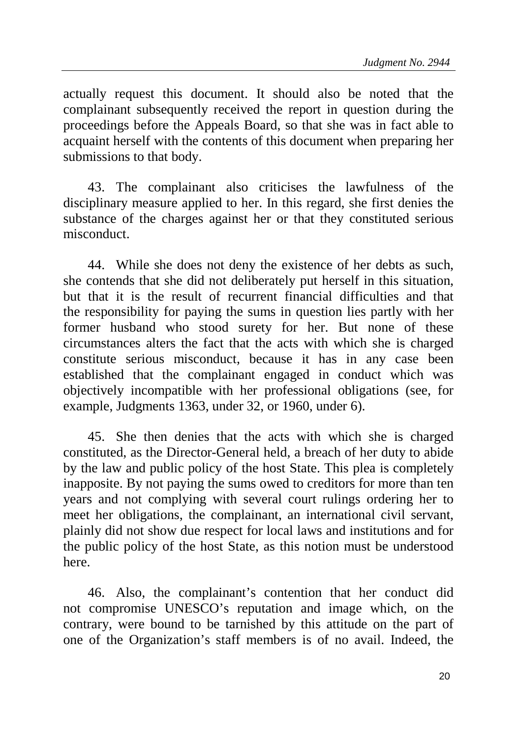actually request this document. It should also be noted that the complainant subsequently received the report in question during the proceedings before the Appeals Board, so that she was in fact able to acquaint herself with the contents of this document when preparing her submissions to that body.

43. The complainant also criticises the lawfulness of the disciplinary measure applied to her. In this regard, she first denies the substance of the charges against her or that they constituted serious misconduct.

44. While she does not deny the existence of her debts as such, she contends that she did not deliberately put herself in this situation, but that it is the result of recurrent financial difficulties and that the responsibility for paying the sums in question lies partly with her former husband who stood surety for her. But none of these circumstances alters the fact that the acts with which she is charged constitute serious misconduct, because it has in any case been established that the complainant engaged in conduct which was objectively incompatible with her professional obligations (see, for example, Judgments 1363, under 32, or 1960, under 6).

45. She then denies that the acts with which she is charged constituted, as the Director-General held, a breach of her duty to abide by the law and public policy of the host State. This plea is completely inapposite. By not paying the sums owed to creditors for more than ten years and not complying with several court rulings ordering her to meet her obligations, the complainant, an international civil servant, plainly did not show due respect for local laws and institutions and for the public policy of the host State, as this notion must be understood here.

46. Also, the complainant's contention that her conduct did not compromise UNESCO's reputation and image which, on the contrary, were bound to be tarnished by this attitude on the part of one of the Organization's staff members is of no avail. Indeed, the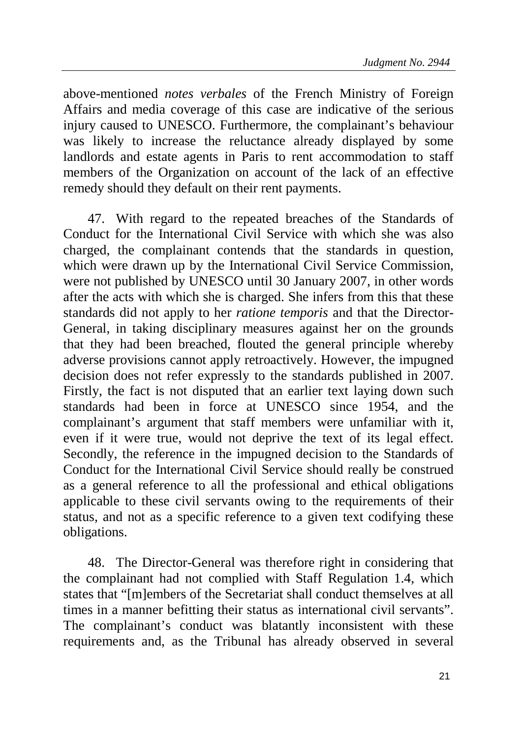above-mentioned *notes verbales* of the French Ministry of Foreign Affairs and media coverage of this case are indicative of the serious injury caused to UNESCO. Furthermore, the complainant's behaviour was likely to increase the reluctance already displayed by some landlords and estate agents in Paris to rent accommodation to staff members of the Organization on account of the lack of an effective remedy should they default on their rent payments.

47. With regard to the repeated breaches of the Standards of Conduct for the International Civil Service with which she was also charged, the complainant contends that the standards in question, which were drawn up by the International Civil Service Commission, were not published by UNESCO until 30 January 2007, in other words after the acts with which she is charged. She infers from this that these standards did not apply to her *ratione temporis* and that the Director-General, in taking disciplinary measures against her on the grounds that they had been breached, flouted the general principle whereby adverse provisions cannot apply retroactively. However, the impugned decision does not refer expressly to the standards published in 2007. Firstly, the fact is not disputed that an earlier text laying down such standards had been in force at UNESCO since 1954, and the complainant's argument that staff members were unfamiliar with it, even if it were true, would not deprive the text of its legal effect. Secondly, the reference in the impugned decision to the Standards of Conduct for the International Civil Service should really be construed as a general reference to all the professional and ethical obligations applicable to these civil servants owing to the requirements of their status, and not as a specific reference to a given text codifying these obligations.

48. The Director-General was therefore right in considering that the complainant had not complied with Staff Regulation 1.4, which states that "[m]embers of the Secretariat shall conduct themselves at all times in a manner befitting their status as international civil servants". The complainant's conduct was blatantly inconsistent with these requirements and, as the Tribunal has already observed in several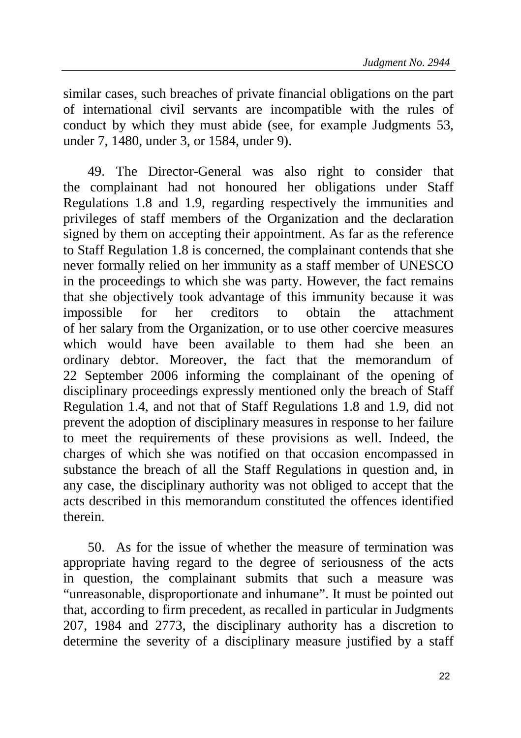similar cases, such breaches of private financial obligations on the part of international civil servants are incompatible with the rules of conduct by which they must abide (see, for example Judgments 53, under 7, 1480, under 3, or 1584, under 9).

49. The Director-General was also right to consider that the complainant had not honoured her obligations under Staff Regulations 1.8 and 1.9, regarding respectively the immunities and privileges of staff members of the Organization and the declaration signed by them on accepting their appointment. As far as the reference to Staff Regulation 1.8 is concerned, the complainant contends that she never formally relied on her immunity as a staff member of UNESCO in the proceedings to which she was party. However, the fact remains that she objectively took advantage of this immunity because it was impossible for her creditors to obtain the attachment of her salary from the Organization, or to use other coercive measures which would have been available to them had she been an ordinary debtor. Moreover, the fact that the memorandum of 22 September 2006 informing the complainant of the opening of disciplinary proceedings expressly mentioned only the breach of Staff Regulation 1.4, and not that of Staff Regulations 1.8 and 1.9, did not prevent the adoption of disciplinary measures in response to her failure to meet the requirements of these provisions as well. Indeed, the charges of which she was notified on that occasion encompassed in substance the breach of all the Staff Regulations in question and, in any case, the disciplinary authority was not obliged to accept that the acts described in this memorandum constituted the offences identified therein.

50. As for the issue of whether the measure of termination was appropriate having regard to the degree of seriousness of the acts in question, the complainant submits that such a measure was "unreasonable, disproportionate and inhumane". It must be pointed out that, according to firm precedent, as recalled in particular in Judgments 207, 1984 and 2773, the disciplinary authority has a discretion to determine the severity of a disciplinary measure justified by a staff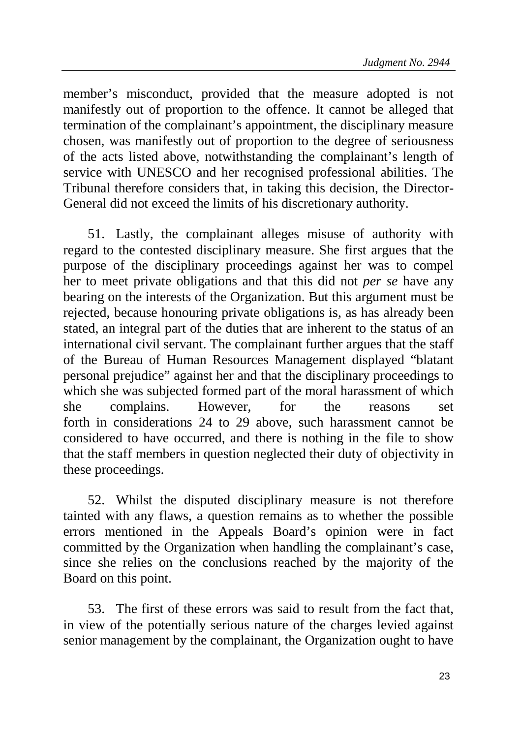member's misconduct, provided that the measure adopted is not manifestly out of proportion to the offence. It cannot be alleged that termination of the complainant's appointment, the disciplinary measure chosen, was manifestly out of proportion to the degree of seriousness of the acts listed above, notwithstanding the complainant's length of service with UNESCO and her recognised professional abilities. The Tribunal therefore considers that, in taking this decision, the Director-General did not exceed the limits of his discretionary authority.

51. Lastly, the complainant alleges misuse of authority with regard to the contested disciplinary measure. She first argues that the purpose of the disciplinary proceedings against her was to compel her to meet private obligations and that this did not *per se* have any bearing on the interests of the Organization. But this argument must be rejected, because honouring private obligations is, as has already been stated, an integral part of the duties that are inherent to the status of an international civil servant. The complainant further argues that the staff of the Bureau of Human Resources Management displayed "blatant personal prejudice" against her and that the disciplinary proceedings to which she was subjected formed part of the moral harassment of which she complains. However, for the reasons set forth in considerations 24 to 29 above, such harassment cannot be considered to have occurred, and there is nothing in the file to show that the staff members in question neglected their duty of objectivity in these proceedings.

52. Whilst the disputed disciplinary measure is not therefore tainted with any flaws, a question remains as to whether the possible errors mentioned in the Appeals Board's opinion were in fact committed by the Organization when handling the complainant's case, since she relies on the conclusions reached by the majority of the Board on this point.

53. The first of these errors was said to result from the fact that, in view of the potentially serious nature of the charges levied against senior management by the complainant, the Organization ought to have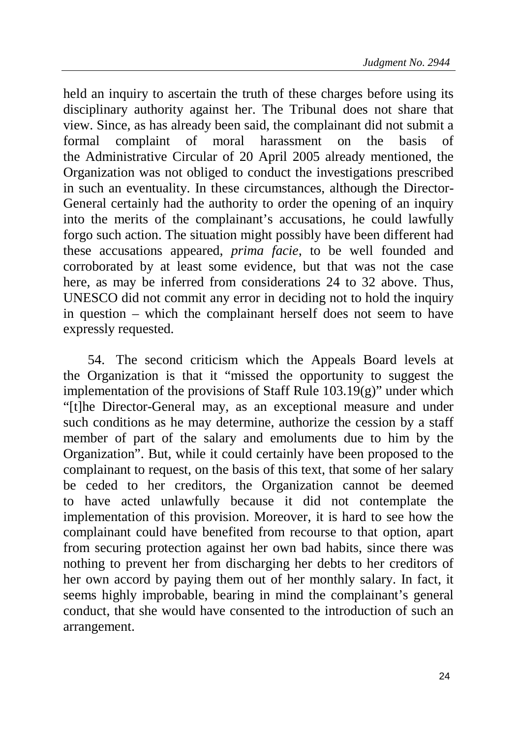held an inquiry to ascertain the truth of these charges before using its disciplinary authority against her. The Tribunal does not share that view. Since, as has already been said, the complainant did not submit a formal complaint of moral harassment on the basis of the Administrative Circular of 20 April 2005 already mentioned, the Organization was not obliged to conduct the investigations prescribed in such an eventuality. In these circumstances, although the Director-General certainly had the authority to order the opening of an inquiry into the merits of the complainant's accusations, he could lawfully forgo such action. The situation might possibly have been different had these accusations appeared, *prima facie*, to be well founded and corroborated by at least some evidence, but that was not the case here, as may be inferred from considerations 24 to 32 above. Thus, UNESCO did not commit any error in deciding not to hold the inquiry in question – which the complainant herself does not seem to have expressly requested.

54. The second criticism which the Appeals Board levels at the Organization is that it "missed the opportunity to suggest the implementation of the provisions of Staff Rule  $103.19(g)$ " under which "[t]he Director-General may, as an exceptional measure and under such conditions as he may determine, authorize the cession by a staff member of part of the salary and emoluments due to him by the Organization". But, while it could certainly have been proposed to the complainant to request, on the basis of this text, that some of her salary be ceded to her creditors, the Organization cannot be deemed to have acted unlawfully because it did not contemplate the implementation of this provision. Moreover, it is hard to see how the complainant could have benefited from recourse to that option, apart from securing protection against her own bad habits, since there was nothing to prevent her from discharging her debts to her creditors of her own accord by paying them out of her monthly salary. In fact, it seems highly improbable, bearing in mind the complainant's general conduct, that she would have consented to the introduction of such an arrangement.